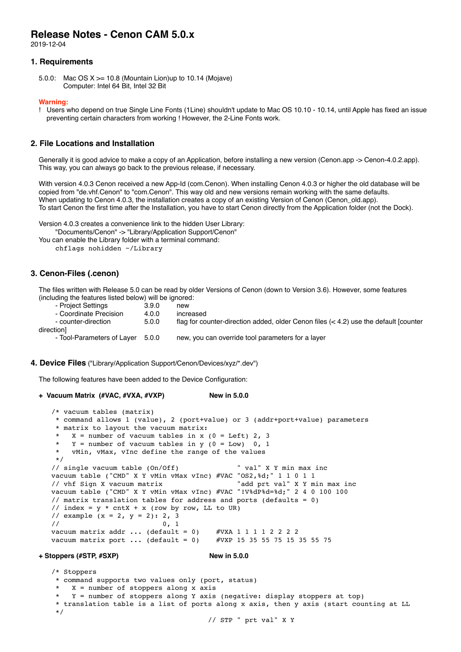# **Release Notes - Cenon CAM 5.0.x**

2019-12-04

## **1. Requirements**

5.0.0: Mac OS X >= 10.8 (Mountain Lion)up to 10.14 (Mojave) Computer: Intel 64 Bit, Intel 32 Bit

#### **Warning:**

! Users who depend on true Single Line Fonts (1Line) shouldn't update to Mac OS 10.10 - 10.14, until Apple has fixed an issue preventing certain characters from working ! However, the 2-Line Fonts work.

## **2. File Locations and Installation**

Generally it is good advice to make a copy of an Application, before installing a new version (Cenon.app -> Cenon-4.0.2.app). This way, you can always go back to the previous release, if necessary.

With version 4.0.3 Cenon received a new App-Id (com.Cenon). When installing Cenon 4.0.3 or higher the old database will be copied from "de.vhf.Cenon" to "com.Cenon". This way old and new versions remain working with the same defaults. When updating to Cenon 4.0.3, the installation creates a copy of an existing Version of Cenon (Cenon\_old.app). To start Cenon the first time after the Installation, you have to start Cenon directly from the Application folder (not the Dock).

Version 4.0.3 creates a convenience link to the hidden User Library: "Documents/Cenon" -> "Library/Application Support/Cenon" You can enable the Library folder with a terminal command: chflags nohidden ~/Library

## **3. Cenon-Files (.cenon)**

The files written with Release 5.0 can be read by older Versions of Cenon (down to Version 3.6). However, some features (including the features listed below) will be ignored:

- Project Settings 3.9.0 new - Coordinate Precision 4.0.0 increased<br>counter-direction 5.0.0 flag for co flag for counter-direction added, older Cenon files  $(< 4.2)$  use the default [counter direction] - Tool-Parameters of Layer 5.0.0 new, you can override tool parameters for a layer

#### **4. Device Files** ("Library/Application Support/Cenon/Devices/xyz/\*.dev")

The following features have been added to the Device Configuration:

```
+ Vacuum Matrix (#VAC, #VXA, #VXP) New in 5.0.0
```

```
 /* vacuum tables (matrix)
   * command allows 1 (value), 2 (port+value) or 3 (addr+port+value) parameters
   * matrix to layout the vacuum matrix:
  * X = number of vacuum tables in x (0 = Left) 2, 3<br>* Y = number of vacuum tables in y (0 = Low) 0. 1
  * Y = number of vacuum tables in Y = Low 0, 1<br>* x win x what y lnc define the range of the values
      vMin, vMax, vInc define the range of the values
   */
  // single vacuum table (On/Off) " val" X Y min max inc
 vacuum table ("CMD" X Y vMin vMax vInc) #VAC "OS2,%d;" 1 1 0 1 1
  // vhf Sign X vacuum matrix "add prt val" X Y min max inc
vacuum table ("CMD" X Y vMin vMax vInc) #VAC "!V%dP%d=%d;" 2 4 0 100 100
 // matrix translation tables for address and ports (defaults = 0)
 // index = y * cntx + x (row by row, LL to UR)
 // example (x = 2, y = 2): 2, 3\frac{1}{2} 0, 1
vacuum matrix addr ... (default = 0) #VXA 1 1 1 1 2 2 2 2
 vacuum matrix port ... (default = 0) #VXP 15 35 55 75 15 35 55 75
```
#### **+ Stoppers (#STP, #SXP) New in 5.0.0**

 /\* Stoppers \* command supports two values only (port, status)  $X =$  number of stoppers along x axis  $Y =$  number of stoppers along Y axis (negative: display stoppers at top) \* translation table is a list of ports along x axis, then y axis (start counting at LL \*/

```
 // STP " prt val" X Y
```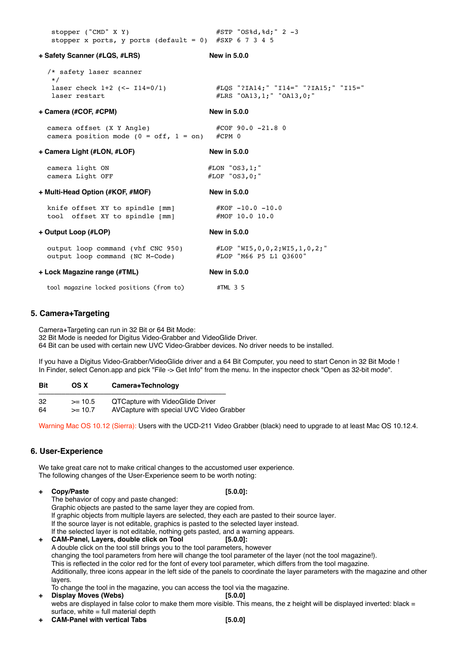| stopper ("CMD" X Y)<br>stopper x ports, y ports (default = 0) #SXP 6 7 3 4 5                             | #STP "OS%d,%d;" 2 -3                                             |
|----------------------------------------------------------------------------------------------------------|------------------------------------------------------------------|
| + Safety Scanner (#LQS, #LRS)                                                                            | New in 5.0.0                                                     |
| /* safety laser scanner<br>$\star/$                                                                      |                                                                  |
| laser check $1+2$ (<- $114=0/1$ )<br>laser restart                                                       | #LQS "?IA14;" "I14=" "?IA15;" "I15="<br>#LRS "OA13,1;" "OA13,0;" |
| + Camera (#COF, #CPM)                                                                                    | <b>New in 5.0.0</b>                                              |
| camera offset (X Y Angle)<br>camera position mode ( $0 = \text{off}$ , $1 = \text{on}$ ) #CPM 0          | $\#COF$ 90.0 -21.8 0                                             |
| + Camera Light (#LON, #LOF)                                                                              | New in 5.0.0                                                     |
| camera light ON<br>camera Light OFF                                                                      | $#LON$ "OS3, 1; "<br>#LOF "0S3,0;"                               |
| + Multi-Head Option (#KOF, #MOF)                                                                         | New in 5.0.0                                                     |
| knife offset XY to spindle [mm] #KOF -10.0 -10.0<br>tool offset XY to spindle [mm]                       | #MOF 10.0 10.0                                                   |
| + Output Loop (#LOP)                                                                                     | New in 5.0.0                                                     |
| output loop command (vhf CNC 950) #LOP "WI5, 0, 0, 2; WI5, 1, 0, 2; "<br>output loop command (NC M-Code) | #LOP "M66 P5 L1 03600"                                           |
| + Lock Magazine range (#TML)                                                                             | New in 5.0.0                                                     |
| tool magazine locked positions (from to)                                                                 | #TML 3 5                                                         |

## **5. Camera+Targeting**

Camera+Targeting can run in 32 Bit or 64 Bit Mode:

32 Bit Mode is needed for Digitus Video-Grabber and VideoGlide Driver.

64 Bit can be used with certain new UVC Video-Grabber devices. No driver needs to be installed.

If you have a Digitus Video-Grabber/VideoGlide driver and a 64 Bit Computer, you need to start Cenon in 32 Bit Mode ! In Finder, select Cenon.app and pick "File -> Get Info" from the menu. In the inspector check "Open as 32-bit mode".

| <b>Bit</b> | OS X      | Camera+Technology                        |
|------------|-----------|------------------------------------------|
| -32        | $>= 10.5$ | <b>QTCapture with VideoGlide Driver</b>  |
| 64         | $>= 10.7$ | AVCapture with special UVC Video Grabber |

Warning Mac OS 10.12 (Sierra): Users with the UCD-211 Video Grabber (black) need to upgrade to at least Mac OS 10.12.4.

## **6. User-Experience**

We take great care not to make critical changes to the accustomed user experience. The following changes of the User-Experience seem to be worth noting:

## **+ Copy/Paste [5.0.0]:**

The behavior of copy and paste changed: Graphic objects are pasted to the same layer they are copied from. If graphic objects from multiple layers are selected, they each are pasted to their source layer. If the source layer is not editable, graphics is pasted to the selected layer instead. If the selected layer is not editable, nothing gets pasted, and a warning appears.

**+ CAM-Panel, Layers, double click on Tool [5.0.0]:** A double click on the tool still brings you to the tool parameters, however changing the tool parameters from here will change the tool parameter of the layer (not the tool magazine!). This is reflected in the color red for the font of every tool parameter, which differs from the tool magazine. Additionally, three icons appear in the left side of the panels to coordinate the layer parameters with the magazine and other layers.

- To change the tool in the magazine, you can access the tool via the magazine.<br>Display Moves (Webs) [5.0.0] **Display Moves (Webs)** webs are displayed in false color to make them more visible. This means, the z height will be displayed inverted: black = surface, white  $=$  full material depth **+ CAM-Panel with vertical Tabs [5.0.0]**
-